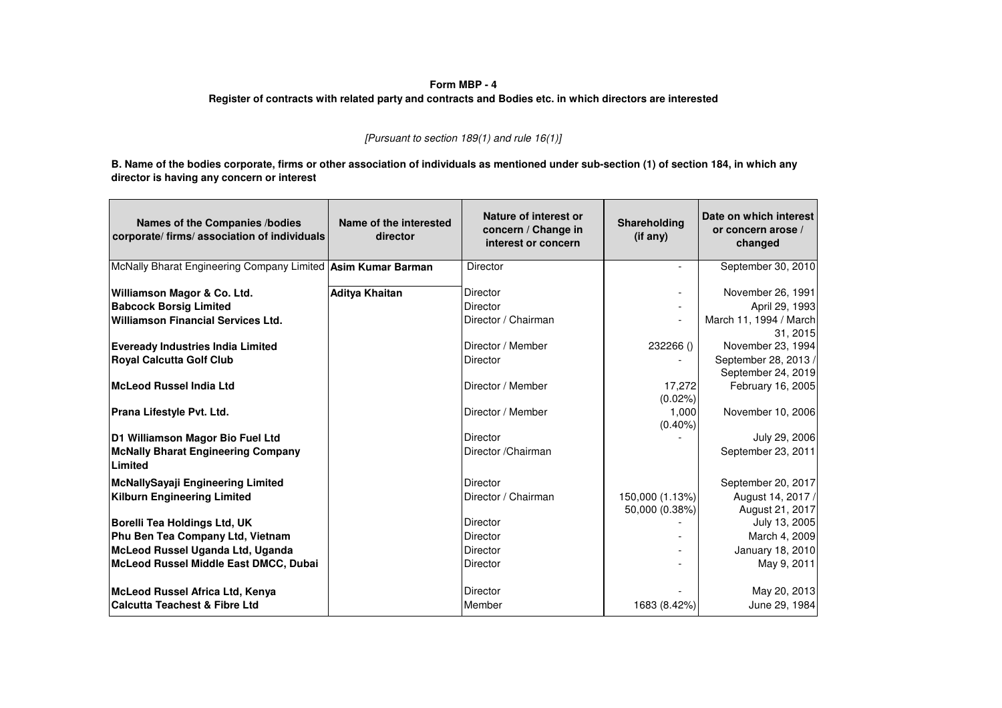## **Form MBP - 4**

## **Register of contracts with related party and contracts and Bodies etc. in which directors are interested**

## [Pursuant to section 189(1) and rule  $16(1)$ ]

**B. Name of the bodies corporate, firms or other association of individuals as mentioned under sub-section (1) of section 184, in which any director is having any concern or interest**

| Names of the Companies /bodies<br>corporate/ firms/ association of individuals | Name of the interested<br>director | Nature of interest or<br>concern / Change in<br>interest or concern | Shareholding<br>(if any) | Date on which interest<br>or concern arose /<br>changed |
|--------------------------------------------------------------------------------|------------------------------------|---------------------------------------------------------------------|--------------------------|---------------------------------------------------------|
| McNally Bharat Engineering Company Limited   Asim Kumar Barman                 |                                    | Director                                                            | $\overline{\phantom{a}}$ | September 30, 2010                                      |
| Williamson Magor & Co. Ltd.                                                    | Aditya Khaitan                     | Director                                                            |                          | November 26, 1991                                       |
| <b>Babcock Borsig Limited</b>                                                  |                                    | Director                                                            |                          | April 29, 1993                                          |
| <b>Williamson Financial Services Ltd.</b>                                      |                                    | Director / Chairman                                                 | $\overline{\phantom{a}}$ | March 11, 1994 / March<br>31, 2015                      |
| <b>Eveready Industries India Limited</b>                                       |                                    | Director / Member                                                   | 232266 ()                | November 23, 1994                                       |
| <b>Royal Calcutta Golf Club</b>                                                |                                    | Director                                                            |                          | September 28, 2013 /                                    |
|                                                                                |                                    |                                                                     |                          | September 24, 2019                                      |
| McLeod Russel India Ltd                                                        |                                    | Director / Member                                                   | 17,272<br>$(0.02\%)$     | February 16, 2005                                       |
| Prana Lifestyle Pvt. Ltd.                                                      |                                    | Director / Member                                                   | 1,000<br>$(0.40\%)$      | November 10, 2006                                       |
| D1 Williamson Magor Bio Fuel Ltd                                               |                                    | Director                                                            |                          | July 29, 2006                                           |
| <b>McNally Bharat Engineering Company</b><br>Limited                           |                                    | Director / Chairman                                                 |                          | September 23, 2011                                      |
| <b>McNallySayaji Engineering Limited</b>                                       |                                    | Director                                                            |                          | September 20, 2017                                      |
| <b>Kilburn Engineering Limited</b>                                             |                                    | Director / Chairman                                                 | 150,000 (1.13%)          | August 14, 2017 /                                       |
|                                                                                |                                    |                                                                     | 50,000 (0.38%)           | August 21, 2017                                         |
| Borelli Tea Holdings Ltd, UK                                                   |                                    | <b>Director</b>                                                     |                          | July 13, 2005                                           |
| Phu Ben Tea Company Ltd, Vietnam                                               |                                    | Director                                                            |                          | March 4, 2009                                           |
| McLeod Russel Uganda Ltd, Uganda                                               |                                    | Director                                                            |                          | January 18, 2010                                        |
| McLeod Russel Middle East DMCC, Dubai                                          |                                    | <b>Director</b>                                                     |                          | May 9, 2011                                             |
| McLeod Russel Africa Ltd, Kenya                                                |                                    | Director                                                            |                          | May 20, 2013                                            |
| <b>Calcutta Teachest &amp; Fibre Ltd</b>                                       |                                    | Member                                                              | 1683 (8.42%)             | June 29, 1984                                           |